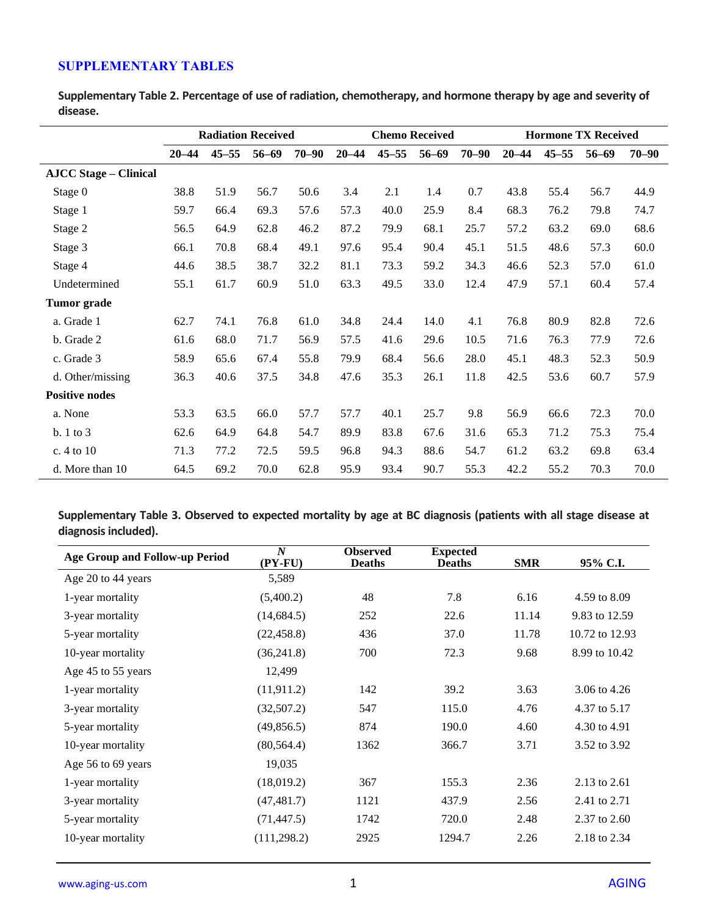## **SUPPLEMENTARY TABLES**

**Supplementary Table 2. Percentage of use of radiation, chemotherapy, and hormone therapy by age and severity of disease.**

|                              | <b>Radiation Received</b> |           |           |           | <b>Chemo Received</b> |           |           | <b>Hormone TX Received</b> |           |           |           |           |
|------------------------------|---------------------------|-----------|-----------|-----------|-----------------------|-----------|-----------|----------------------------|-----------|-----------|-----------|-----------|
|                              | $20 - 44$                 | $45 - 55$ | $56 - 69$ | $70 - 90$ | $20 - 44$             | $45 - 55$ | $56 - 69$ | $70 - 90$                  | $20 - 44$ | $45 - 55$ | $56 - 69$ | $70 - 90$ |
| <b>AJCC Stage – Clinical</b> |                           |           |           |           |                       |           |           |                            |           |           |           |           |
| Stage 0                      | 38.8                      | 51.9      | 56.7      | 50.6      | 3.4                   | 2.1       | 1.4       | 0.7                        | 43.8      | 55.4      | 56.7      | 44.9      |
| Stage 1                      | 59.7                      | 66.4      | 69.3      | 57.6      | 57.3                  | 40.0      | 25.9      | 8.4                        | 68.3      | 76.2      | 79.8      | 74.7      |
| Stage 2                      | 56.5                      | 64.9      | 62.8      | 46.2      | 87.2                  | 79.9      | 68.1      | 25.7                       | 57.2      | 63.2      | 69.0      | 68.6      |
| Stage 3                      | 66.1                      | 70.8      | 68.4      | 49.1      | 97.6                  | 95.4      | 90.4      | 45.1                       | 51.5      | 48.6      | 57.3      | 60.0      |
| Stage 4                      | 44.6                      | 38.5      | 38.7      | 32.2      | 81.1                  | 73.3      | 59.2      | 34.3                       | 46.6      | 52.3      | 57.0      | 61.0      |
| Undetermined                 | 55.1                      | 61.7      | 60.9      | 51.0      | 63.3                  | 49.5      | 33.0      | 12.4                       | 47.9      | 57.1      | 60.4      | 57.4      |
| <b>Tumor</b> grade           |                           |           |           |           |                       |           |           |                            |           |           |           |           |
| a. Grade 1                   | 62.7                      | 74.1      | 76.8      | 61.0      | 34.8                  | 24.4      | 14.0      | 4.1                        | 76.8      | 80.9      | 82.8      | 72.6      |
| b. Grade 2                   | 61.6                      | 68.0      | 71.7      | 56.9      | 57.5                  | 41.6      | 29.6      | 10.5                       | 71.6      | 76.3      | 77.9      | 72.6      |
| c. Grade 3                   | 58.9                      | 65.6      | 67.4      | 55.8      | 79.9                  | 68.4      | 56.6      | 28.0                       | 45.1      | 48.3      | 52.3      | 50.9      |
| d. Other/missing             | 36.3                      | 40.6      | 37.5      | 34.8      | 47.6                  | 35.3      | 26.1      | 11.8                       | 42.5      | 53.6      | 60.7      | 57.9      |
| <b>Positive nodes</b>        |                           |           |           |           |                       |           |           |                            |           |           |           |           |
| a. None                      | 53.3                      | 63.5      | 66.0      | 57.7      | 57.7                  | 40.1      | 25.7      | 9.8                        | 56.9      | 66.6      | 72.3      | 70.0      |
| b. 1 to 3                    | 62.6                      | 64.9      | 64.8      | 54.7      | 89.9                  | 83.8      | 67.6      | 31.6                       | 65.3      | 71.2      | 75.3      | 75.4      |
| c. 4 to 10                   | 71.3                      | 77.2      | 72.5      | 59.5      | 96.8                  | 94.3      | 88.6      | 54.7                       | 61.2      | 63.2      | 69.8      | 63.4      |
| d. More than 10              | 64.5                      | 69.2      | 70.0      | 62.8      | 95.9                  | 93.4      | 90.7      | 55.3                       | 42.2      | 55.2      | 70.3      | 70.0      |

**Supplementary Table 3. Observed to expected mortality by age at BC diagnosis (patients with all stage disease at diagnosis included).**

| Age Group and Follow-up Period | $\boldsymbol{N}$<br>$(PY-FU)$ | <b>Observed</b><br><b>Deaths</b> | <b>Expected</b><br><b>Deaths</b> | <b>SMR</b> | 95% C.I.       |
|--------------------------------|-------------------------------|----------------------------------|----------------------------------|------------|----------------|
| Age 20 to 44 years             | 5,589                         |                                  |                                  |            |                |
| 1-year mortality               | (5,400.2)                     | 48                               | 7.8                              | 6.16       | 4.59 to 8.09   |
| 3-year mortality               | (14, 684.5)                   | 252                              | 22.6                             | 11.14      | 9.83 to 12.59  |
| 5-year mortality               | (22, 458.8)                   | 436                              | 37.0                             | 11.78      | 10.72 to 12.93 |
| 10-year mortality              | (36,241.8)                    | 700                              | 72.3                             | 9.68       | 8.99 to 10.42  |
| Age 45 to 55 years             | 12,499                        |                                  |                                  |            |                |
| 1-year mortality               | (11, 911.2)                   | 142                              | 39.2                             | 3.63       | 3.06 to 4.26   |
| 3-year mortality               | (32,507.2)                    | 547                              | 115.0                            | 4.76       | 4.37 to 5.17   |
| 5-year mortality               | (49, 856.5)                   | 874                              | 190.0                            | 4.60       | 4.30 to 4.91   |
| 10-year mortality              | (80, 564.4)                   | 1362                             | 366.7                            | 3.71       | 3.52 to 3.92   |
| Age 56 to 69 years             | 19,035                        |                                  |                                  |            |                |
| 1-year mortality               | (18,019.2)                    | 367                              | 155.3                            | 2.36       | 2.13 to 2.61   |
| 3-year mortality               | (47, 481.7)                   | 1121                             | 437.9                            | 2.56       | 2.41 to 2.71   |
| 5-year mortality               | (71, 447.5)                   | 1742                             | 720.0                            | 2.48       | 2.37 to 2.60   |
| 10-year mortality              | (111, 298.2)                  | 2925                             | 1294.7                           | 2.26       | 2.18 to 2.34   |